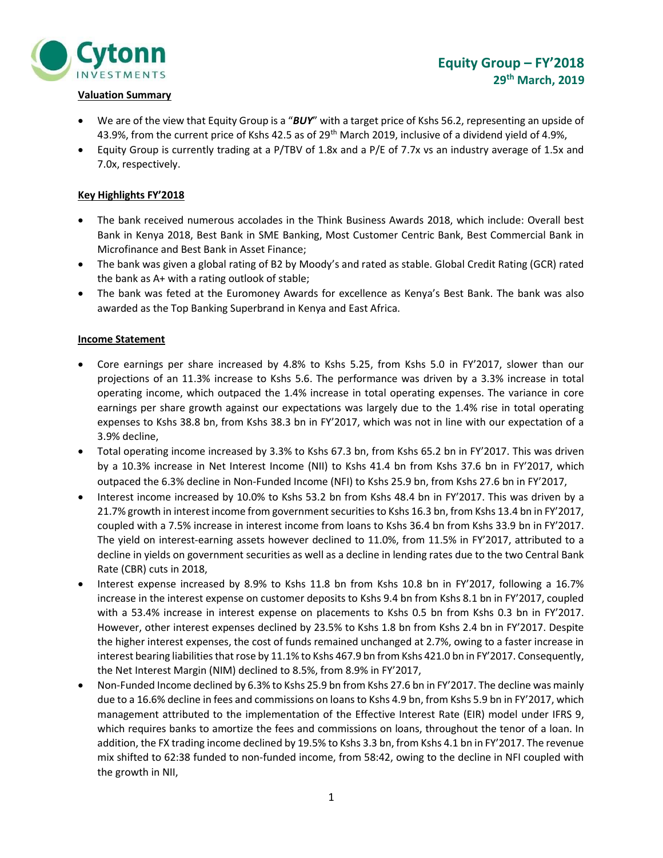

### Valuation Summary

- We are of the view that Equity Group is a "BUY" with a target price of Kshs 56.2, representing an upside of 43.9%, from the current price of Kshs 42.5 as of 29th March 2019, inclusive of a dividend yield of 4.9%,
- Equity Group is currently trading at a P/TBV of 1.8x and a P/E of 7.7x vs an industry average of 1.5x and 7.0x, respectively.

## Key Highlights FY'2018

- The bank received numerous accolades in the Think Business Awards 2018, which include: Overall best Bank in Kenya 2018, Best Bank in SME Banking, Most Customer Centric Bank, Best Commercial Bank in Microfinance and Best Bank in Asset Finance;
- The bank was given a global rating of B2 by Moody's and rated as stable. Global Credit Rating (GCR) rated the bank as A+ with a rating outlook of stable;
- The bank was feted at the Euromoney Awards for excellence as Kenya's Best Bank. The bank was also awarded as the Top Banking Superbrand in Kenya and East Africa.

### Income Statement

- Core earnings per share increased by 4.8% to Kshs 5.25, from Kshs 5.0 in FY'2017, slower than our projections of an 11.3% increase to Kshs 5.6. The performance was driven by a 3.3% increase in total operating income, which outpaced the 1.4% increase in total operating expenses. The variance in core earnings per share growth against our expectations was largely due to the 1.4% rise in total operating expenses to Kshs 38.8 bn, from Kshs 38.3 bn in FY'2017, which was not in line with our expectation of a 3.9% decline,
- Total operating income increased by 3.3% to Kshs 67.3 bn, from Kshs 65.2 bn in FY'2017. This was driven by a 10.3% increase in Net Interest Income (NII) to Kshs 41.4 bn from Kshs 37.6 bn in FY'2017, which outpaced the 6.3% decline in Non-Funded Income (NFI) to Kshs 25.9 bn, from Kshs 27.6 bn in FY'2017,
- Interest income increased by 10.0% to Kshs 53.2 bn from Kshs 48.4 bn in FY'2017. This was driven by a 21.7% growth in interest income from government securities to Kshs 16.3 bn, from Kshs 13.4 bn in FY'2017, coupled with a 7.5% increase in interest income from loans to Kshs 36.4 bn from Kshs 33.9 bn in FY'2017. The yield on interest-earning assets however declined to 11.0%, from 11.5% in FY'2017, attributed to a decline in yields on government securities as well as a decline in lending rates due to the two Central Bank Rate (CBR) cuts in 2018,
- Interest expense increased by 8.9% to Kshs 11.8 bn from Kshs 10.8 bn in FY'2017, following a 16.7% increase in the interest expense on customer deposits to Kshs 9.4 bn from Kshs 8.1 bn in FY'2017, coupled with a 53.4% increase in interest expense on placements to Kshs 0.5 bn from Kshs 0.3 bn in FY'2017. However, other interest expenses declined by 23.5% to Kshs 1.8 bn from Kshs 2.4 bn in FY'2017. Despite the higher interest expenses, the cost of funds remained unchanged at 2.7%, owing to a faster increase in interest bearing liabilities that rose by 11.1% to Kshs 467.9 bn from Kshs 421.0 bn in FY'2017. Consequently, the Net Interest Margin (NIM) declined to 8.5%, from 8.9% in FY'2017,
- Non-Funded Income declined by 6.3% to Kshs 25.9 bn from Kshs 27.6 bn in FY'2017. The decline was mainly due to a 16.6% decline in fees and commissions on loans to Kshs 4.9 bn, from Kshs 5.9 bn in FY'2017, which management attributed to the implementation of the Effective Interest Rate (EIR) model under IFRS 9, which requires banks to amortize the fees and commissions on loans, throughout the tenor of a loan. In addition, the FX trading income declined by 19.5% to Kshs 3.3 bn, from Kshs 4.1 bn in FY'2017. The revenue mix shifted to 62:38 funded to non-funded income, from 58:42, owing to the decline in NFI coupled with the growth in NII,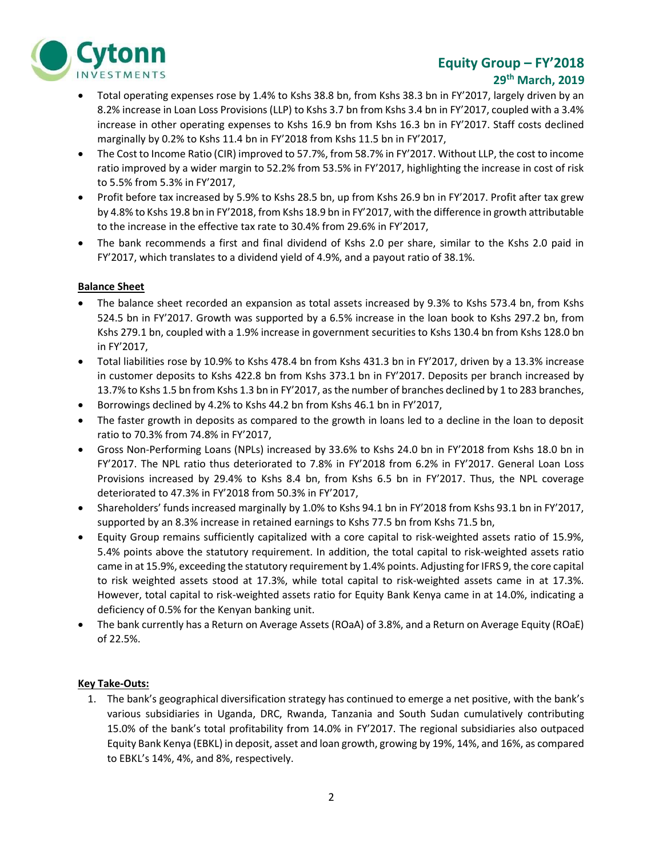

# Equity Group – FY'2018 29th March, 2019

- Total operating expenses rose by 1.4% to Kshs 38.8 bn, from Kshs 38.3 bn in FY'2017, largely driven by an 8.2% increase in Loan Loss Provisions (LLP) to Kshs 3.7 bn from Kshs 3.4 bn in FY'2017, coupled with a 3.4% increase in other operating expenses to Kshs 16.9 bn from Kshs 16.3 bn in FY'2017. Staff costs declined marginally by 0.2% to Kshs 11.4 bn in FY'2018 from Kshs 11.5 bn in FY'2017,
- The Cost to Income Ratio (CIR) improved to 57.7%, from 58.7% in FY'2017. Without LLP, the cost to income ratio improved by a wider margin to 52.2% from 53.5% in FY'2017, highlighting the increase in cost of risk to 5.5% from 5.3% in FY'2017,
- Profit before tax increased by 5.9% to Kshs 28.5 bn, up from Kshs 26.9 bn in FY'2017. Profit after tax grew by 4.8% to Kshs 19.8 bn in FY'2018, from Kshs 18.9 bn in FY'2017, with the difference in growth attributable to the increase in the effective tax rate to 30.4% from 29.6% in FY'2017,
- The bank recommends a first and final dividend of Kshs 2.0 per share, similar to the Kshs 2.0 paid in FY'2017, which translates to a dividend yield of 4.9%, and a payout ratio of 38.1%.

## Balance Sheet

- The balance sheet recorded an expansion as total assets increased by 9.3% to Kshs 573.4 bn, from Kshs 524.5 bn in FY'2017. Growth was supported by a 6.5% increase in the loan book to Kshs 297.2 bn, from Kshs 279.1 bn, coupled with a 1.9% increase in government securities to Kshs 130.4 bn from Kshs 128.0 bn in FY'2017,
- Total liabilities rose by 10.9% to Kshs 478.4 bn from Kshs 431.3 bn in FY'2017, driven by a 13.3% increase in customer deposits to Kshs 422.8 bn from Kshs 373.1 bn in FY'2017. Deposits per branch increased by 13.7% to Kshs 1.5 bn from Kshs 1.3 bn in FY'2017, as the number of branches declined by 1 to 283 branches,
- Borrowings declined by 4.2% to Kshs 44.2 bn from Kshs 46.1 bn in FY'2017,
- The faster growth in deposits as compared to the growth in loans led to a decline in the loan to deposit ratio to 70.3% from 74.8% in FY'2017,
- Gross Non-Performing Loans (NPLs) increased by 33.6% to Kshs 24.0 bn in FY'2018 from Kshs 18.0 bn in FY'2017. The NPL ratio thus deteriorated to 7.8% in FY'2018 from 6.2% in FY'2017. General Loan Loss Provisions increased by 29.4% to Kshs 8.4 bn, from Kshs 6.5 bn in FY'2017. Thus, the NPL coverage deteriorated to 47.3% in FY'2018 from 50.3% in FY'2017,
- Shareholders' funds increased marginally by 1.0% to Kshs 94.1 bn in FY'2018 from Kshs 93.1 bn in FY'2017, supported by an 8.3% increase in retained earnings to Kshs 77.5 bn from Kshs 71.5 bn,
- Equity Group remains sufficiently capitalized with a core capital to risk-weighted assets ratio of 15.9%, 5.4% points above the statutory requirement. In addition, the total capital to risk-weighted assets ratio came in at 15.9%, exceeding the statutory requirement by 1.4% points. Adjusting for IFRS 9, the core capital to risk weighted assets stood at 17.3%, while total capital to risk-weighted assets came in at 17.3%. However, total capital to risk-weighted assets ratio for Equity Bank Kenya came in at 14.0%, indicating a deficiency of 0.5% for the Kenyan banking unit.
- The bank currently has a Return on Average Assets (ROaA) of 3.8%, and a Return on Average Equity (ROaE) of 22.5%.

#### Key Take-Outs:

1. The bank's geographical diversification strategy has continued to emerge a net positive, with the bank's various subsidiaries in Uganda, DRC, Rwanda, Tanzania and South Sudan cumulatively contributing 15.0% of the bank's total profitability from 14.0% in FY'2017. The regional subsidiaries also outpaced Equity Bank Kenya (EBKL) in deposit, asset and loan growth, growing by 19%, 14%, and 16%, as compared to EBKL's 14%, 4%, and 8%, respectively.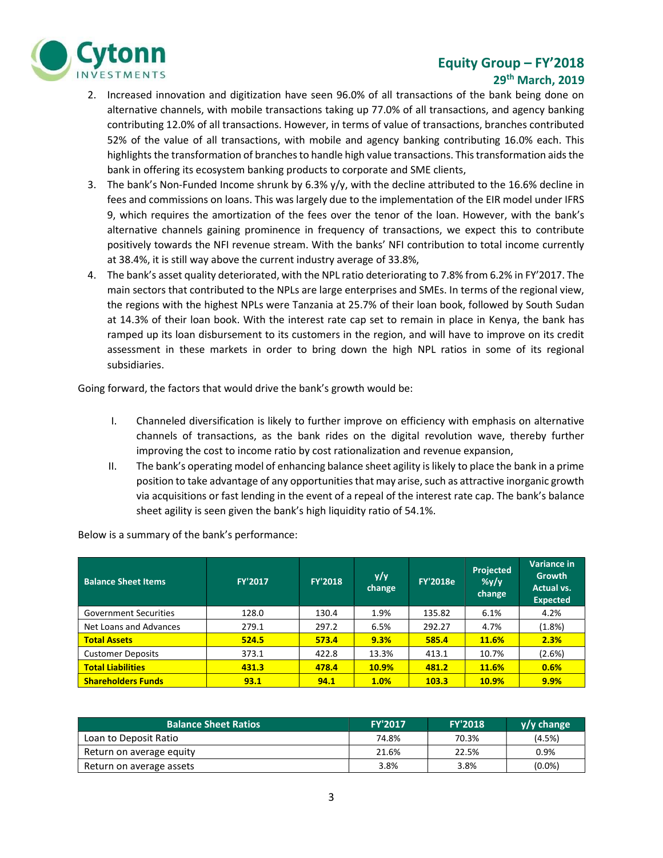

# Equity Group – FY'2018 29th March, 2019

- 2. Increased innovation and digitization have seen 96.0% of all transactions of the bank being done on alternative channels, with mobile transactions taking up 77.0% of all transactions, and agency banking contributing 12.0% of all transactions. However, in terms of value of transactions, branches contributed 52% of the value of all transactions, with mobile and agency banking contributing 16.0% each. This highlights the transformation of branches to handle high value transactions. This transformation aids the bank in offering its ecosystem banking products to corporate and SME clients,
- 3. The bank's Non-Funded Income shrunk by 6.3% y/y, with the decline attributed to the 16.6% decline in fees and commissions on loans. This was largely due to the implementation of the EIR model under IFRS 9, which requires the amortization of the fees over the tenor of the loan. However, with the bank's alternative channels gaining prominence in frequency of transactions, we expect this to contribute positively towards the NFI revenue stream. With the banks' NFI contribution to total income currently at 38.4%, it is still way above the current industry average of 33.8%,
- 4. The bank's asset quality deteriorated, with the NPL ratio deteriorating to 7.8% from 6.2% in FY'2017. The main sectors that contributed to the NPLs are large enterprises and SMEs. In terms of the regional view, the regions with the highest NPLs were Tanzania at 25.7% of their loan book, followed by South Sudan at 14.3% of their loan book. With the interest rate cap set to remain in place in Kenya, the bank has ramped up its loan disbursement to its customers in the region, and will have to improve on its credit assessment in these markets in order to bring down the high NPL ratios in some of its regional subsidiaries.

Going forward, the factors that would drive the bank's growth would be:

- I. Channeled diversification is likely to further improve on efficiency with emphasis on alternative channels of transactions, as the bank rides on the digital revolution wave, thereby further improving the cost to income ratio by cost rationalization and revenue expansion,
- II. The bank's operating model of enhancing balance sheet agility is likely to place the bank in a prime position to take advantage of any opportunities that may arise, such as attractive inorganic growth via acquisitions or fast lending in the event of a repeal of the interest rate cap. The bank's balance sheet agility is seen given the bank's high liquidity ratio of 54.1%.

Below is a summary of the bank's performance:

| <b>Balance Sheet Items</b>   | <b>FY'2017</b> | <b>FY'2018</b> | y/y<br>change | <b>FY'2018e</b> | <b>Projected</b><br>$\frac{\%y}{y}$<br>change | <b>Variance in</b><br>Growth<br>Actual vs.<br><b>Expected</b> |
|------------------------------|----------------|----------------|---------------|-----------------|-----------------------------------------------|---------------------------------------------------------------|
| <b>Government Securities</b> | 128.0          | 130.4          | 1.9%          | 135.82          | 6.1%                                          | 4.2%                                                          |
| Net Loans and Advances       | 279.1          | 297.2          | 6.5%          | 292.27          | 4.7%                                          | (1.8%)                                                        |
| <b>Total Assets</b>          | 524.5          | 573.4          | 9.3%          | 585.4           | 11.6%                                         | 2.3%                                                          |
| <b>Customer Deposits</b>     | 373.1          | 422.8          | 13.3%         | 413.1           | 10.7%                                         | (2.6%)                                                        |
| <b>Total Liabilities</b>     | 431.3          | 478.4          | <b>10.9%</b>  | 481.2           | 11.6%                                         | 0.6%                                                          |
| <b>Shareholders Funds</b>    | 93.1           | 94.1           | 1.0%          | 103.3           | <b>10.9%</b>                                  | 9.9%                                                          |

| <b>Balance Sheet Ratios</b> | <b>FY'2017</b> | <b>FY'2018</b> | y/y change |
|-----------------------------|----------------|----------------|------------|
| Loan to Deposit Ratio       | 74.8%          | 70.3%          | (4.5%)     |
| Return on average equity    | 21.6%          | 22.5%          | $0.9\%$    |
| Return on average assets    | 3.8%           | 3.8%           | $(0.0\%)$  |